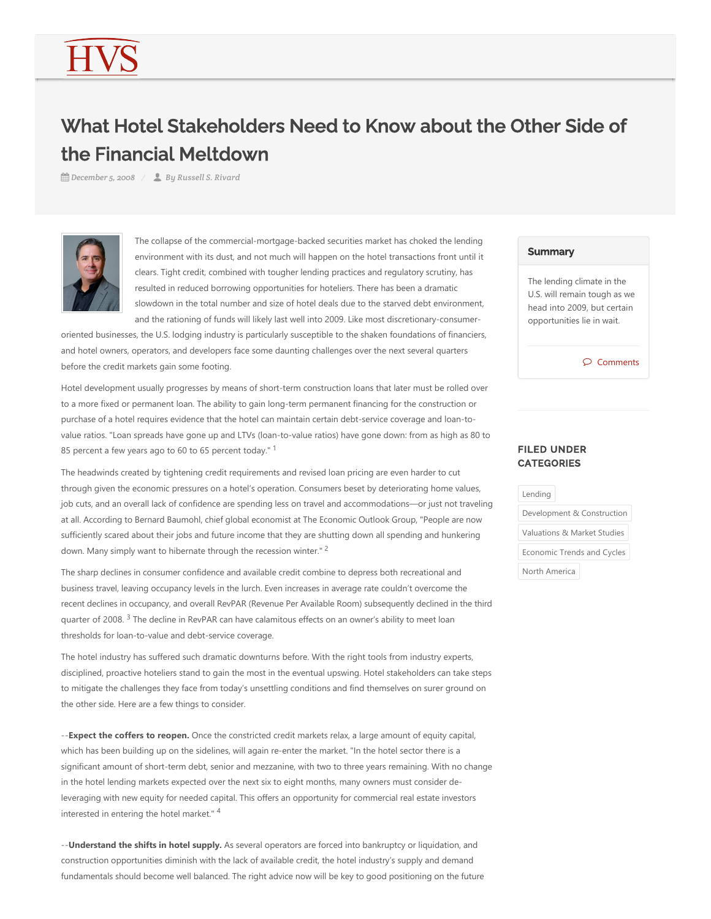# What Hotel Stakeholders Need to Know about the Other Side of the Financial Meltdown

*December 5, 2008 By Russell S. Rivard*



The collapse of the commercial-mortgage-backed securities market has choked the lending environment with its dust, and not much will happen on the hotel transactions front until it clears. Tight credit, combined with tougher lending practices and regulatory scrutiny, has resulted in reduced borrowing opportunities for hoteliers. There has been a dramatic slowdown in the total number and size of hotel deals due to the starved debt environment, and the rationing of funds will likely last well into 2009. Like most discretionary‐consumer‐

oriented businesses, the U.S. lodging industry is particularly susceptible to the shaken foundations of financiers, and hotel owners, operators, and developers face some daunting challenges over the next several quarters before the credit markets gain some footing.

Hotel development usually progresses by means of short‐term construction loans that later must be rolled over to a more fixed or permanent loan. The ability to gain long‐term permanent financing for the construction or purchase of a hotel requires evidence that the hotel can maintain certain debt-service coverage and loan-tovalue ratios. "Loan spreads have gone up and LTVs (loan-to-value ratios) have gone down: from as high as 80 to 85 percent a few years ago to 60 to 65 percent today."  $1$ 

The headwinds created by tightening credit requirements and revised loan pricing are even harder to cut through given the economic pressures on a hotel's operation. Consumers beset by deteriorating home values, job cuts, and an overall lack of confidence are spending less on travel and accommodations—or just not traveling at all. According to Bernard Baumohl, chief global economist at The Economic Outlook Group, "People are now sufficiently scared about their jobs and future income that they are shutting down all spending and hunkering down. Many simply want to hibernate through the recession winter."<sup>2</sup>

The sharp declines in consumer confidence and available credit combine to depress both recreational and business travel, leaving occupancy levels in the lurch. Even increases in average rate couldn't overcome the recent declines in occupancy, and overall RevPAR (Revenue Per Available Room) subsequently declined in the third quarter of 2008. <sup>3</sup> The decline in RevPAR can have calamitous effects on an owner's ability to meet loan thresholds for loan‐to‐value and debt‐service coverage.

The hotel industry has suffered such dramatic downturns before. With the right tools from industry experts, disciplined, proactive hoteliers stand to gain the most in the eventual upswing. Hotel stakeholders can take steps to mitigate the challenges they face from today's unsettling conditions and find themselves on surer ground on the other side. Here are a few things to consider.

‐‐**Expect the coffers to reopen.** Once the constricted credit markets relax, a large amount of equity capital, which has been building up on the sidelines, will again re-enter the market. "In the hotel sector there is a significant amount of short-term debt, senior and mezzanine, with two to three years remaining. With no change in the hotel lending markets expected over the next six to eight months, many owners must consider deleveraging with new equity for needed capital. This offers an opportunity for commercial real estate investors interested in entering the hotel market." 4

‐‐**Understand the shifts in hotel supply.** As several operators are forced into bankruptcy or liquidation, and construction opportunities diminish with the lack of available credit, the hotel industry's supply and demand fundamentals should become well balanced. The right advice now will be key to good positioning on the future

### **Summary**

The lending climate in the U.S. will remain tough as we head into 2009, but certain opportunities lie in wait.

 $\circledcirc$  Comments

# FILED UNDER **CATEGORIES**